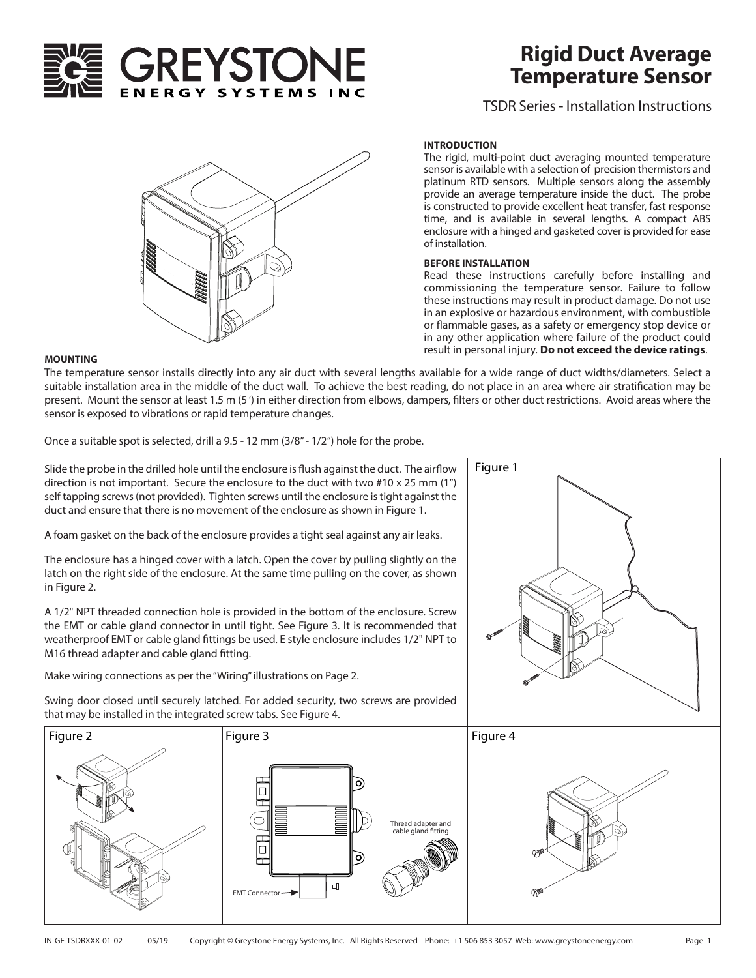

# **Rigid Duct Average Temperature Sensor**

TSDR Series - Installation Instructions



### **INTRODUCTION**

The rigid, multi-point duct averaging mounted temperature sensor is available with a selection of precision thermistors and platinum RTD sensors. Multiple sensors along the assembly provide an average temperature inside the duct. The probe is constructed to provide excellent heat transfer, fast response time, and is available in several lengths. A compact ABS enclosure with a hinged and gasketed cover is provided for ease of installation.

#### **BEFORE INSTALLATION**

Figure 1

Read these instructions carefully before installing and commissioning the temperature sensor. Failure to follow these instructions may result in product damage. Do not use in an explosive or hazardous environment, with combustible or flammable gases, as a safety or emergency stop device or in any other application where failure of the product could result in personal injury. **Do not exceed the device ratings**. **MOUNTING**

The temperature sensor installs directly into any air duct with several lengths available for a wide range of duct widths/diameters. Select a suitable installation area in the middle of the duct wall. To achieve the best reading, do not place in an area where air stratification may be present. Mount the sensor at least 1.5 m (5 ') in either direction from elbows, dampers, filters or other duct restrictions. Avoid areas where the sensor is exposed to vibrations or rapid temperature changes.

Once a suitable spot is selected, drill a 9.5 - 12 mm (3/8" - 1/2") hole for the probe.

Slide the probe in the drilled hole until the enclosure is flush against the duct. The airflow direction is not important. Secure the enclosure to the duct with two #10 x 25 mm (1") self tapping screws (not provided). Tighten screws until the enclosure is tight against the duct and ensure that there is no movement of the enclosure as shown in Figure 1.

A foam gasket on the back of the enclosure provides a tight seal against any air leaks.

The enclosure has a hinged cover with a latch. Open the cover by pulling slightly on the latch on the right side of the enclosure. At the same time pulling on the cover, as shown in Figure 2.

A 1/2" NPT threaded connection hole is provided in the bottom of the enclosure. Screw the EMT or cable gland connector in until tight. See Figure 3. It is recommended that weatherproof EMT or cable gland fittings be used. E style enclosure includes 1/2" NPT to M16 thread adapter and cable gland fitting.

Make wiring connections as per the "Wiring" illustrations on Page 2.



Swing door closed until securely latched. For added security, two screws are provided that may be installed in the integrated screw tabs. See Figure 4.